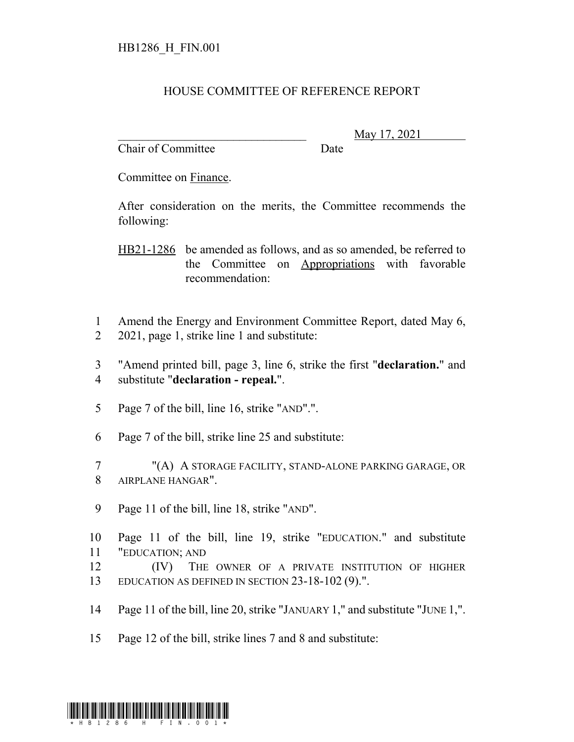## HOUSE COMMITTEE OF REFERENCE REPORT

Chair of Committee Date

\_\_\_\_\_\_\_\_\_\_\_\_\_\_\_\_\_\_\_\_\_\_\_\_\_\_\_\_\_\_\_ May 17, 2021

Committee on Finance.

After consideration on the merits, the Committee recommends the following:

HB21-1286 be amended as follows, and as so amended, be referred to the Committee on Appropriations with favorable recommendation:

1 Amend the Energy and Environment Committee Report, dated May 6, 2 2021, page 1, strike line 1 and substitute:

3 "Amend printed bill, page 3, line 6, strike the first "**declaration.**" and 4 substitute "**declaration - repeal.**".

5 Page 7 of the bill, line 16, strike "AND".".

6 Page 7 of the bill, strike line 25 and substitute:

7 "(A) A STORAGE FACILITY, STAND-ALONE PARKING GARAGE, OR 8 AIRPLANE HANGAR".

9 Page 11 of the bill, line 18, strike "AND".

10 Page 11 of the bill, line 19, strike "EDUCATION." and substitute 11 "EDUCATION; AND

12 **(IV)** THE OWNER OF A PRIVATE INSTITUTION OF HIGHER 13 EDUCATION AS DEFINED IN SECTION 23-18-102 (9).".

14 Page 11 of the bill, line 20, strike "JANUARY 1," and substitute "JUNE 1,".

15 Page 12 of the bill, strike lines 7 and 8 and substitute:

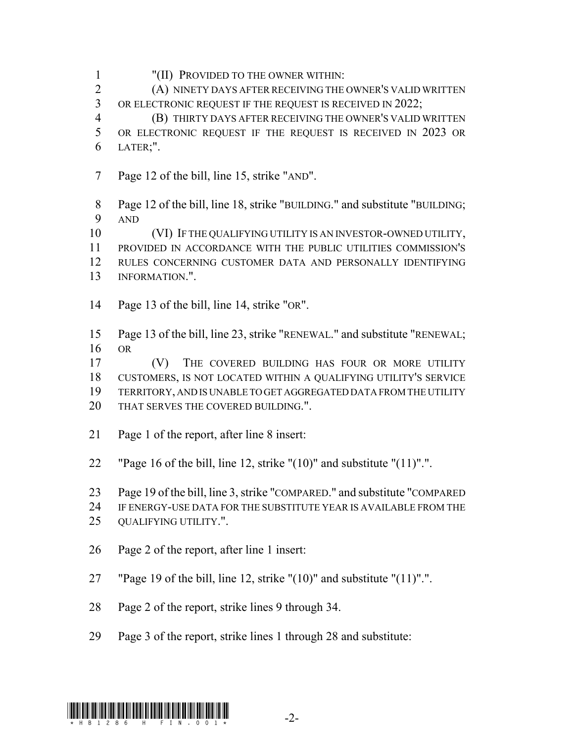"(II) PROVIDED TO THE OWNER WITHIN:

 (A) NINETY DAYS AFTER RECEIVING THE OWNER'S VALID WRITTEN 3 OR ELECTRONIC REQUEST IF THE REQUEST IS RECEIVED IN 2022;

 (B) THIRTY DAYS AFTER RECEIVING THE OWNER'S VALID WRITTEN OR ELECTRONIC REQUEST IF THE REQUEST IS RECEIVED IN 2023 OR LATER;".

Page 12 of the bill, line 15, strike "AND".

 Page 12 of the bill, line 18, strike "BUILDING." and substitute "BUILDING; AND

 (VI) IF THE QUALIFYING UTILITY IS AN INVESTOR-OWNED UTILITY, PROVIDED IN ACCORDANCE WITH THE PUBLIC UTILITIES COMMISSION'S RULES CONCERNING CUSTOMER DATA AND PERSONALLY IDENTIFYING INFORMATION.".

Page 13 of the bill, line 14, strike "OR".

 Page 13 of the bill, line 23, strike "RENEWAL." and substitute "RENEWAL; OR

 (V) THE COVERED BUILDING HAS FOUR OR MORE UTILITY CUSTOMERS, IS NOT LOCATED WITHIN A QUALIFYING UTILITY'S SERVICE TERRITORY, AND IS UNABLE TO GET AGGREGATED DATA FROM THE UTILITY

- 20 THAT SERVES THE COVERED BUILDING.".
- Page 1 of the report, after line 8 insert:
- 22 "Page 16 of the bill, line 12, strike " $(10)$ " and substitute " $(11)$ ".".

Page 19 of the bill, line 3, strike "COMPARED." and substitute "COMPARED

IF ENERGY-USE DATA FOR THE SUBSTITUTE YEAR IS AVAILABLE FROM THE

- QUALIFYING UTILITY.".
- Page 2 of the report, after line 1 insert:
- "Page 19 of the bill, line 12, strike "(10)" and substitute "(11)".".
- Page 2 of the report, strike lines 9 through 34.
- Page 3 of the report, strike lines 1 through 28 and substitute:

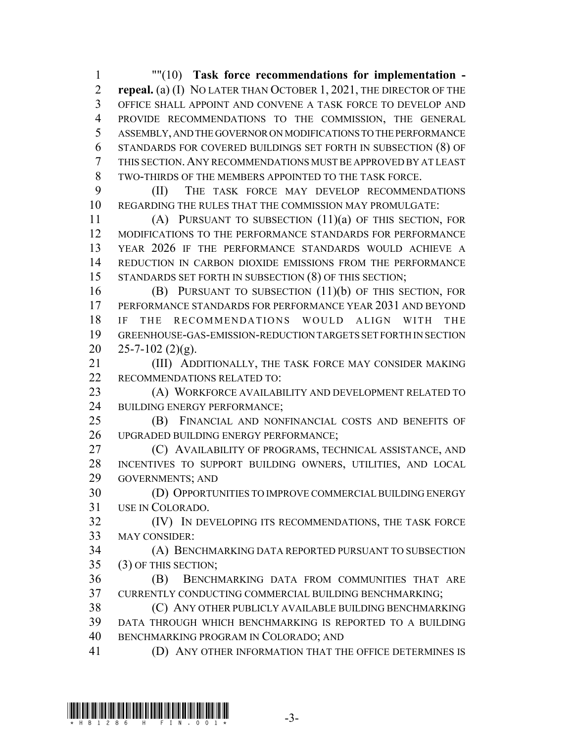""(10) **Task force recommendations for implementation - repeal.** (a) (I) NO LATER THAN OCTOBER 1, 2021, THE DIRECTOR OF THE OFFICE SHALL APPOINT AND CONVENE A TASK FORCE TO DEVELOP AND PROVIDE RECOMMENDATIONS TO THE COMMISSION, THE GENERAL ASSEMBLY, AND THE GOVERNOR ON MODIFICATIONS TO THE PERFORMANCE STANDARDS FOR COVERED BUILDINGS SET FORTH IN SUBSECTION (8) OF THIS SECTION.ANY RECOMMENDATIONS MUST BE APPROVED BY AT LEAST TWO-THIRDS OF THE MEMBERS APPOINTED TO THE TASK FORCE.

 (II) THE TASK FORCE MAY DEVELOP RECOMMENDATIONS REGARDING THE RULES THAT THE COMMISSION MAY PROMULGATE:

 (A) PURSUANT TO SUBSECTION (11)(a) OF THIS SECTION, FOR MODIFICATIONS TO THE PERFORMANCE STANDARDS FOR PERFORMANCE YEAR 2026 IF THE PERFORMANCE STANDARDS WOULD ACHIEVE A REDUCTION IN CARBON DIOXIDE EMISSIONS FROM THE PERFORMANCE STANDARDS SET FORTH IN SUBSECTION (8) OF THIS SECTION;

 (B) PURSUANT TO SUBSECTION (11)(b) OF THIS SECTION, FOR PERFORMANCE STANDARDS FOR PERFORMANCE YEAR 2031 AND BEYOND IF THE RECOMMENDATIONS WOULD ALIGN WITH THE GREENHOUSE-GAS-EMISSION-REDUCTION TARGETS SET FORTH IN SECTION  $25 - 7 - 102$  (2)(g).

 (III) ADDITIONALLY, THE TASK FORCE MAY CONSIDER MAKING RECOMMENDATIONS RELATED TO:

 (A) WORKFORCE AVAILABILITY AND DEVELOPMENT RELATED TO BUILDING ENERGY PERFORMANCE;

 (B) FINANCIAL AND NONFINANCIAL COSTS AND BENEFITS OF UPGRADED BUILDING ENERGY PERFORMANCE;

 (C) AVAILABILITY OF PROGRAMS, TECHNICAL ASSISTANCE, AND INCENTIVES TO SUPPORT BUILDING OWNERS, UTILITIES, AND LOCAL GOVERNMENTS; AND

 (D) OPPORTUNITIES TO IMPROVE COMMERCIAL BUILDING ENERGY USE IN COLORADO.

 (IV) IN DEVELOPING ITS RECOMMENDATIONS, THE TASK FORCE MAY CONSIDER:

 (A) BENCHMARKING DATA REPORTED PURSUANT TO SUBSECTION (3) OF THIS SECTION;

 (B) BENCHMARKING DATA FROM COMMUNITIES THAT ARE CURRENTLY CONDUCTING COMMERCIAL BUILDING BENCHMARKING;

 (C) ANY OTHER PUBLICLY AVAILABLE BUILDING BENCHMARKING DATA THROUGH WHICH BENCHMARKING IS REPORTED TO A BUILDING BENCHMARKING PROGRAM IN COLORADO; AND

(D) ANY OTHER INFORMATION THAT THE OFFICE DETERMINES IS

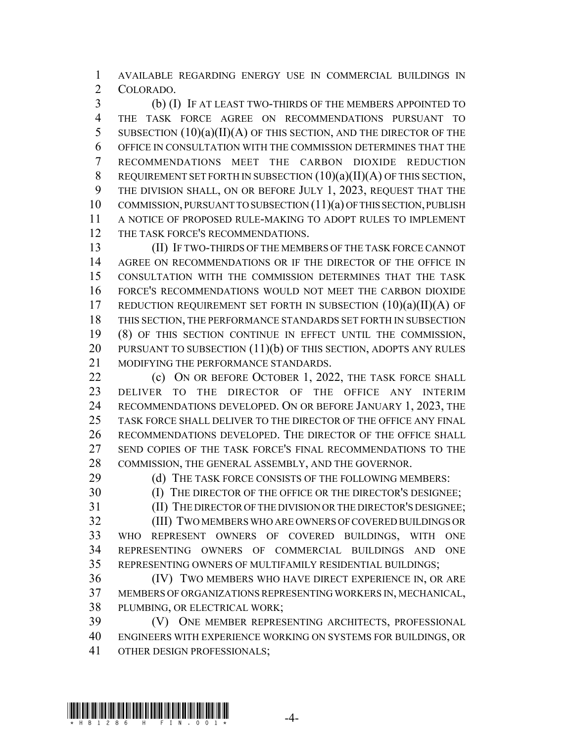AVAILABLE REGARDING ENERGY USE IN COMMERCIAL BUILDINGS IN COLORADO.

 (b) (I) IF AT LEAST TWO-THIRDS OF THE MEMBERS APPOINTED TO THE TASK FORCE AGREE ON RECOMMENDATIONS PURSUANT TO 5 SUBSECTION  $(10)(a)(II)(A)$  OF THIS SECTION, AND THE DIRECTOR OF THE OFFICE IN CONSULTATION WITH THE COMMISSION DETERMINES THAT THE RECOMMENDATIONS MEET THE CARBON DIOXIDE REDUCTION 8 REQUIREMENT SET FORTH IN SUBSECTION  $(10)(a)(II)(A)$  OF THIS SECTION, THE DIVISION SHALL, ON OR BEFORE JULY 1, 2023, REQUEST THAT THE COMMISSION, PURSUANT TO SUBSECTION (11)(a) OF THIS SECTION, PUBLISH A NOTICE OF PROPOSED RULE-MAKING TO ADOPT RULES TO IMPLEMENT 12 THE TASK FORCE'S RECOMMENDATIONS.

 (II) IF TWO-THIRDS OF THE MEMBERS OF THE TASK FORCE CANNOT AGREE ON RECOMMENDATIONS OR IF THE DIRECTOR OF THE OFFICE IN CONSULTATION WITH THE COMMISSION DETERMINES THAT THE TASK FORCE'S RECOMMENDATIONS WOULD NOT MEET THE CARBON DIOXIDE 17 REDUCTION REQUIREMENT SET FORTH IN SUBSECTION  $(10)(a)(II)(A)$  OF THIS SECTION, THE PERFORMANCE STANDARDS SET FORTH IN SUBSECTION (8) OF THIS SECTION CONTINUE IN EFFECT UNTIL THE COMMISSION, 20 PURSUANT TO SUBSECTION (11)(b) OF THIS SECTION, ADOPTS ANY RULES MODIFYING THE PERFORMANCE STANDARDS.

22 (c) ON OR BEFORE OCTOBER 1, 2022, THE TASK FORCE SHALL DELIVER TO THE DIRECTOR OF THE OFFICE ANY INTERIM RECOMMENDATIONS DEVELOPED. ON OR BEFORE JANUARY 1, 2023, THE TASK FORCE SHALL DELIVER TO THE DIRECTOR OF THE OFFICE ANY FINAL RECOMMENDATIONS DEVELOPED. THE DIRECTOR OF THE OFFICE SHALL SEND COPIES OF THE TASK FORCE'S FINAL RECOMMENDATIONS TO THE COMMISSION, THE GENERAL ASSEMBLY, AND THE GOVERNOR.

29 (d) THE TASK FORCE CONSISTS OF THE FOLLOWING MEMBERS:

30 (I) THE DIRECTOR OF THE OFFICE OR THE DIRECTOR'S DESIGNEE;

(II) THE DIRECTOR OF THE DIVISION OR THE DIRECTOR'S DESIGNEE;

 (III) TWO MEMBERS WHO ARE OWNERS OF COVERED BUILDINGS OR WHO REPRESENT OWNERS OF COVERED BUILDINGS, WITH ONE REPRESENTING OWNERS OF COMMERCIAL BUILDINGS AND ONE REPRESENTING OWNERS OF MULTIFAMILY RESIDENTIAL BUILDINGS;

 (IV) TWO MEMBERS WHO HAVE DIRECT EXPERIENCE IN, OR ARE MEMBERS OF ORGANIZATIONS REPRESENTING WORKERS IN, MECHANICAL, PLUMBING, OR ELECTRICAL WORK;

 (V) ONE MEMBER REPRESENTING ARCHITECTS, PROFESSIONAL ENGINEERS WITH EXPERIENCE WORKING ON SYSTEMS FOR BUILDINGS, OR OTHER DESIGN PROFESSIONALS;

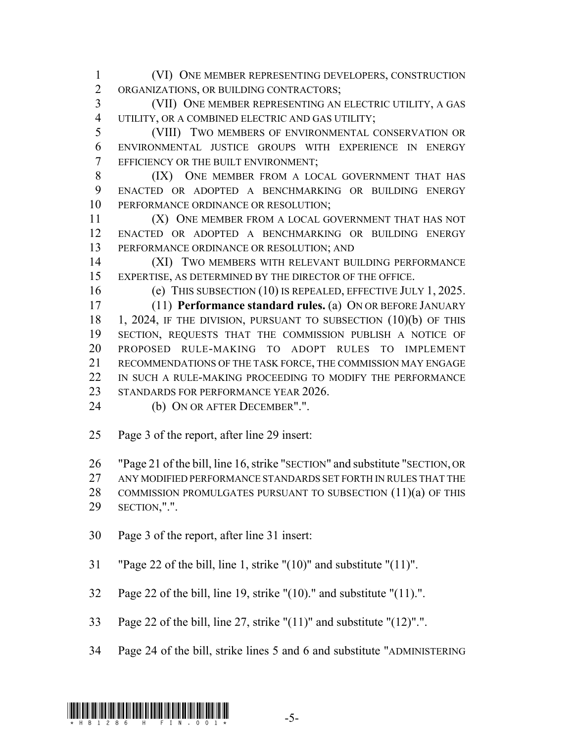(VI) ONE MEMBER REPRESENTING DEVELOPERS, CONSTRUCTION ORGANIZATIONS, OR BUILDING CONTRACTORS;

 (VII) ONE MEMBER REPRESENTING AN ELECTRIC UTILITY, A GAS 4 UTILITY, OR A COMBINED ELECTRIC AND GAS UTILITY;

 (VIII) TWO MEMBERS OF ENVIRONMENTAL CONSERVATION OR ENVIRONMENTAL JUSTICE GROUPS WITH EXPERIENCE IN ENERGY EFFICIENCY OR THE BUILT ENVIRONMENT;

8 (IX) ONE MEMBER FROM A LOCAL GOVERNMENT THAT HAS ENACTED OR ADOPTED A BENCHMARKING OR BUILDING ENERGY PERFORMANCE ORDINANCE OR RESOLUTION;

11 (X) ONE MEMBER FROM A LOCAL GOVERNMENT THAT HAS NOT ENACTED OR ADOPTED A BENCHMARKING OR BUILDING ENERGY PERFORMANCE ORDINANCE OR RESOLUTION; AND

 (XI) TWO MEMBERS WITH RELEVANT BUILDING PERFORMANCE EXPERTISE, AS DETERMINED BY THE DIRECTOR OF THE OFFICE.

(e) THIS SUBSECTION (10) IS REPEALED, EFFECTIVE JULY 1, 2025.

 (11) **Performance standard rules.** (a) ON OR BEFORE JANUARY 1, 2024, IF THE DIVISION, PURSUANT TO SUBSECTION (10)(b) OF THIS SECTION, REQUESTS THAT THE COMMISSION PUBLISH A NOTICE OF PROPOSED RULE-MAKING TO ADOPT RULES TO IMPLEMENT RECOMMENDATIONS OF THE TASK FORCE, THE COMMISSION MAY ENGAGE IN SUCH A RULE-MAKING PROCEEDING TO MODIFY THE PERFORMANCE 23 STANDARDS FOR PERFORMANCE YEAR 2026.

(b) ON OR AFTER DECEMBER".".

Page 3 of the report, after line 29 insert:

 "Page 21 of the bill, line 16, strike "SECTION" and substitute "SECTION, OR ANY MODIFIED PERFORMANCE STANDARDS SET FORTH IN RULES THAT THE 28 COMMISSION PROMULGATES PURSUANT TO SUBSECTION (11)(a) OF THIS SECTION,".".

- Page 3 of the report, after line 31 insert:
- "Page 22 of the bill, line 1, strike "(10)" and substitute "(11)".
- Page 22 of the bill, line 19, strike "(10)." and substitute "(11).".
- Page 22 of the bill, line 27, strike "(11)" and substitute "(12)".".
- Page 24 of the bill, strike lines 5 and 6 and substitute "ADMINISTERING